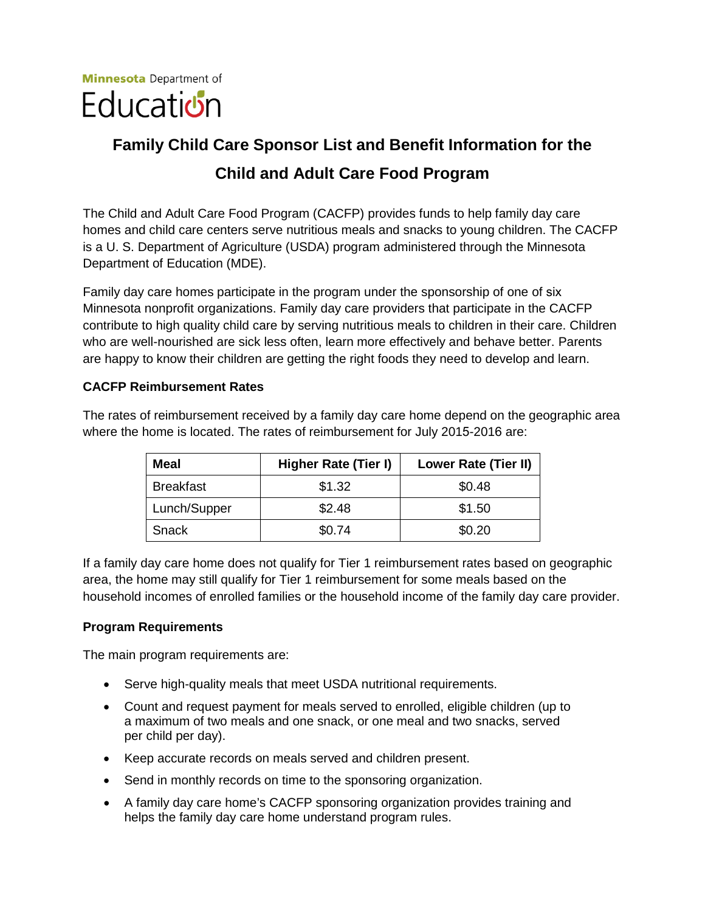

# **Family Child Care Sponsor List and Benefit Information for the Child and Adult Care Food Program**

 The Child and Adult Care Food Program (CACFP) provides funds to help family day care homes and child care centers serve nutritious meals and snacks to young children. The CACFP is a U. S. Department of Agriculture (USDA) program administered through the Minnesota Department of Education (MDE).

 are happy to know their children are getting the right foods they need to develop and learn. Family day care homes participate in the program under the sponsorship of one of six Minnesota nonprofit organizations. Family day care providers that participate in the CACFP contribute to high quality child care by serving nutritious meals to children in their care. Children who are well-nourished are sick less often, learn more effectively and behave better. Parents

#### **CACFP Reimbursement Rates**

The rates of reimbursement received by a family day care home depend on the geographic area where the home is located. The rates of reimbursement for July 2015-2016 are:

| Meal             | <b>Higher Rate (Tier I)</b> | Lower Rate (Tier II) |
|------------------|-----------------------------|----------------------|
| <b>Breakfast</b> | \$1.32                      | \$0.48               |
| Lunch/Supper     | \$2.48                      | \$1.50               |
| Snack            | \$0.74                      | \$0.20               |

 If a family day care home does not qualify for Tier 1 reimbursement rates based on geographic area, the home may still qualify for Tier 1 reimbursement for some meals based on the household incomes of enrolled families or the household income of the family day care provider.

#### **Program Requirements**

The main program requirements are:

- Serve high-quality meals that meet USDA nutritional requirements.
- Count and request payment for meals served to enrolled, eligible children (up to a maximum of two meals and one snack, or one meal and two snacks, served per child per day).
- Keep accurate records on meals served and children present.
- Send in monthly records on time to the sponsoring organization.
- A family day care home's CACFP sponsoring organization provides training and helps the family day care home understand program rules.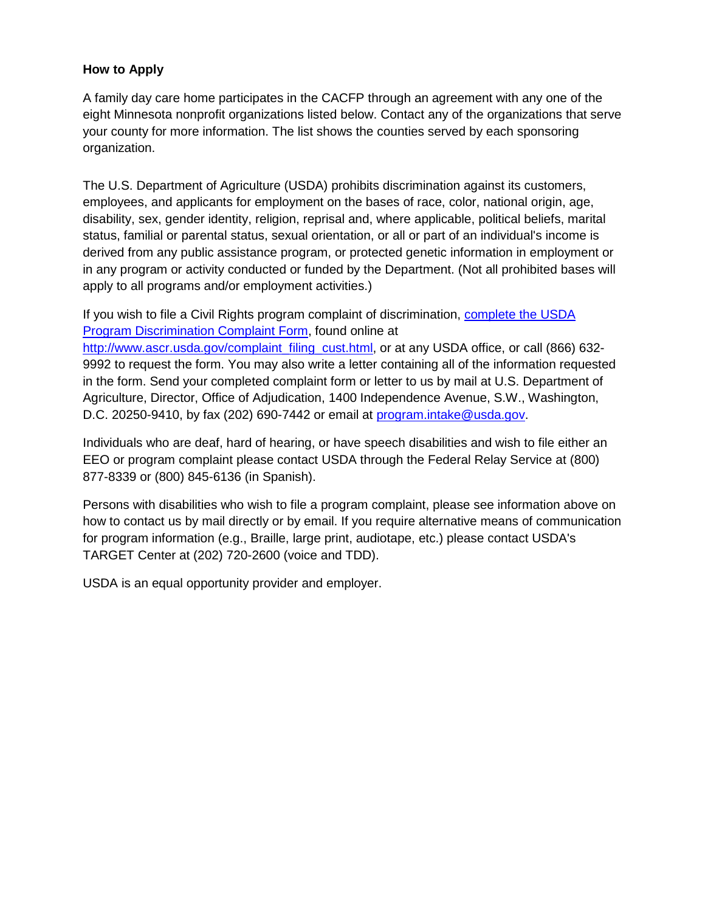### **How to Apply**

 A family day care home participates in the CACFP through an agreement with any one of the eight Minnesota nonprofit organizations listed below. Contact any of the organizations that serve your county for more information. The list shows the counties served by each sponsoring organization.

 disability, sex, gender identity, religion, reprisal and, where applicable, political beliefs, marital The U.S. Department of Agriculture (USDA) prohibits discrimination against its customers, employees, and applicants for employment on the bases of race, color, national origin, age, status, familial or parental status, sexual orientation, or all or part of an individual's income is derived from any public assistance program, or protected genetic information in employment or in any program or activity conducted or funded by the Department. (Not all prohibited bases will apply to all programs and/or employment activities.)

 9992 to request the form. You may also write a letter containing all of the information requested in the form. Send your completed complaint form or letter to us by mail at U.S. Department of Agriculture, Director, Office of Adjudication, 1400 Independence Avenue, S.W., Washington, D.C. 20250-9410, by fax (202) 690-7442 or email at <u>program.intake@usda.gov</u>. If you wish to file a Civil Rights program complaint of discrimination, [complete the USDA](http://www.ocio.usda.gov/sites/default/files/docs/2012/Complain_combined_6_8_12.pdf)  [Program Discrimination Complaint Form,](http://www.ocio.usda.gov/sites/default/files/docs/2012/Complain_combined_6_8_12.pdf) found online at [http://www.ascr.usda.gov/complaint\\_filing\\_cust.html,](http://www.ascr.usda.gov/complaint_filing_cust.html) or at any USDA office, or call (866) 632-

Individuals who are deaf, hard of hearing, or have speech disabilities and wish to file either an EEO or program complaint please contact USDA through the Federal Relay Service at (800) 877-8339 or (800) 845-6136 (in Spanish).

 how to contact us by mail directly or by email. If you require alternative means of communication Persons with disabilities who wish to file a program complaint, please see information above on for program information (e.g., Braille, large print, audiotape, etc.) please contact USDA's TARGET Center at (202) 720-2600 (voice and TDD).

USDA is an equal opportunity provider and employer.